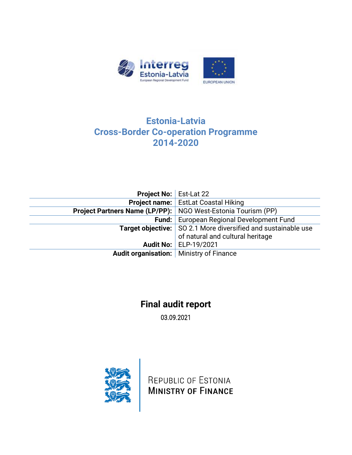

## **Estonia-Latvia Cross-Border Co-operation Programme 2014-2020**

|                                                                     | <b>Project No: Est-Lat 22</b>                                        |  |  |
|---------------------------------------------------------------------|----------------------------------------------------------------------|--|--|
|                                                                     | <b>Project name:</b> EstLat Coastal Hiking                           |  |  |
| <b>Project Partners Name (LP/PP):</b> NGO West-Estonia Tourism (PP) |                                                                      |  |  |
|                                                                     | <b>Fund:</b> European Regional Development Fund                      |  |  |
|                                                                     | <b>Target objective:</b> SO 2.1 More diversified and sustainable use |  |  |
|                                                                     | of natural and cultural heritage                                     |  |  |
|                                                                     | <b>Audit No: ELP-19/2021</b>                                         |  |  |
| Audit organisation:   Ministry of Finance                           |                                                                      |  |  |

# **Final audit report**

03.09.2021



REPUBLIC OF ESTONIA **MINISTRY OF FINANCE**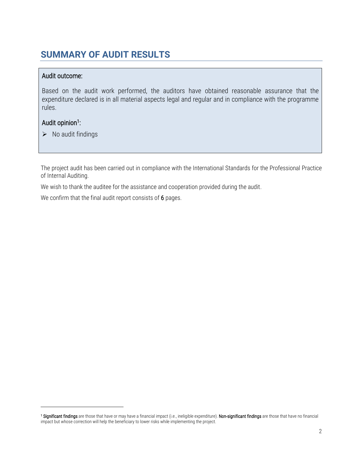# <span id="page-1-0"></span>**SUMMARY OF AUDIT RESULTS**

## Audit outcome:

Based on the audit work performed, the auditors have obtained reasonable assurance that the expenditure declared is in all material aspects legal and regular and in compliance with the programme rules.

## Audit opinion<sup>1</sup>:

 $\triangleright$  No audit findings

The project audit has been carried out in compliance with the International Standards for the Professional Practice of Internal Auditing.

We wish to thank the auditee for the assistance and cooperation provided during the audit.

We confirm that the final audit report consists of 6pages.

**<sup>1</sup> Significant findings** are those that have or may have a financial impact (i.e., ineligible expenditure). **Non-significant findings** are those that have no financial impact but whose correction will help the beneficiary to lower risks while implementing the project.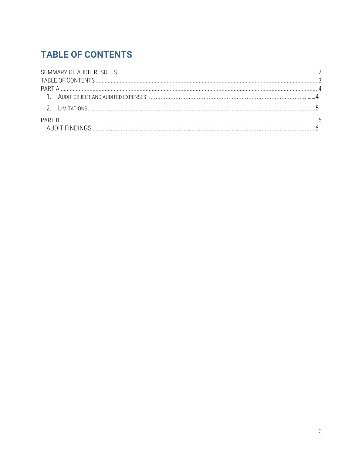# <span id="page-2-0"></span>**TABLE OF CONTENTS**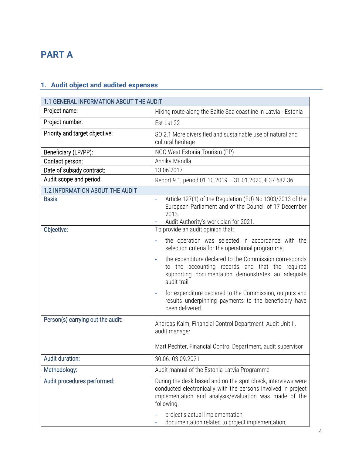# <span id="page-3-0"></span>**PART A**

## <span id="page-3-1"></span>**1. Audit object and audited expenses**

| 1.1 GENERAL INFORMATION ABOUT THE AUDIT |                                                                                                                                                                                                       |  |  |  |  |  |
|-----------------------------------------|-------------------------------------------------------------------------------------------------------------------------------------------------------------------------------------------------------|--|--|--|--|--|
| Project name:                           | Hiking route along the Baltic Sea coastline in Latvia - Estonia                                                                                                                                       |  |  |  |  |  |
| Project number:                         | Est-Lat 22                                                                                                                                                                                            |  |  |  |  |  |
| Priority and target objective:          | SO 2.1 More diversified and sustainable use of natural and<br>cultural heritage                                                                                                                       |  |  |  |  |  |
| Beneficiary (LP/PP):                    | NGO West-Estonia Tourism (PP)                                                                                                                                                                         |  |  |  |  |  |
| Contact person:                         | Annika Mändla                                                                                                                                                                                         |  |  |  |  |  |
| Date of subsidy contract:               | 13.06.2017                                                                                                                                                                                            |  |  |  |  |  |
| Audit scope and period:                 | Report 9.1, period 01.10.2019 - 31.01.2020, € 37 682.36                                                                                                                                               |  |  |  |  |  |
| 1.2 INFORMATION ABOUT THE AUDIT         |                                                                                                                                                                                                       |  |  |  |  |  |
| Basis:                                  | Article 127(1) of the Regulation (EU) No 1303/2013 of the<br>European Parliament and of the Council of 17 December<br>2013.<br>Audit Authority's work plan for 2021.                                  |  |  |  |  |  |
| Objective:                              | To provide an audit opinion that:                                                                                                                                                                     |  |  |  |  |  |
|                                         | the operation was selected in accordance with the<br>selection criteria for the operational programme;                                                                                                |  |  |  |  |  |
|                                         | the expenditure declared to the Commission corresponds<br>to the accounting records and that the required<br>supporting documentation demonstrates an adequate<br>audit trail;                        |  |  |  |  |  |
|                                         | for expenditure declared to the Commission, outputs and<br>results underpinning payments to the beneficiary have<br>been delivered.                                                                   |  |  |  |  |  |
| Person(s) carrying out the audit:       | Andreas Kalm, Financial Control Department, Audit Unit II,<br>audit manager                                                                                                                           |  |  |  |  |  |
|                                         | Mart Pechter, Financial Control Department, audit supervisor                                                                                                                                          |  |  |  |  |  |
| Audit duration:                         | 30.06.-03.09.2021                                                                                                                                                                                     |  |  |  |  |  |
| Methodology:                            | Audit manual of the Estonia-Latvia Programme                                                                                                                                                          |  |  |  |  |  |
| Audit procedures performed:             | During the desk-based and on-the-spot check, interviews were<br>conducted electronically with the persons involved in project<br>implementation and analysis/evaluation was made of the<br>following: |  |  |  |  |  |
|                                         | project's actual implementation,<br>documentation related to project implementation,                                                                                                                  |  |  |  |  |  |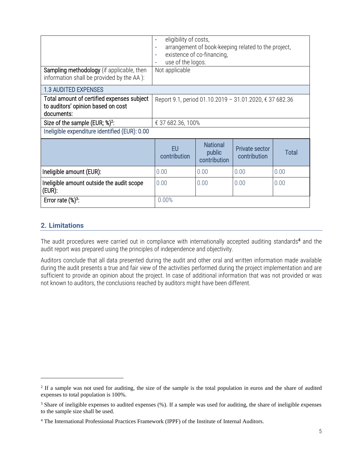| <b>Sampling methodology</b> (if applicable, then<br>information shall be provided by the AA):  | eligibility of costs,<br>۰<br>arrangement of book-keeping related to the project,<br>÷<br>existence of co-financing,<br>٠<br>use of the logos.<br>۰<br>Not applicable |                                           |                                       |       |  |  |
|------------------------------------------------------------------------------------------------|-----------------------------------------------------------------------------------------------------------------------------------------------------------------------|-------------------------------------------|---------------------------------------|-------|--|--|
| <b>1.3 AUDITED EXPENSES</b>                                                                    |                                                                                                                                                                       |                                           |                                       |       |  |  |
| Total amount of certified expenses subject<br>to auditors' opinion based on cost<br>documents: | Report 9.1, period 01.10.2019 - 31.01.2020, € 37 682.36                                                                                                               |                                           |                                       |       |  |  |
| Size of the sample (EUR; %) <sup>2</sup> :                                                     | € 37 682.36, 100%                                                                                                                                                     |                                           |                                       |       |  |  |
| Ineligible expenditure identified (EUR): 0.00                                                  |                                                                                                                                                                       |                                           |                                       |       |  |  |
|                                                                                                | <b>EU</b><br>contribution                                                                                                                                             | <b>National</b><br>public<br>contribution | <b>Private sector</b><br>contribution | Total |  |  |
| Ineligible amount (EUR):                                                                       | 0.00                                                                                                                                                                  | 0.00                                      | 0.00                                  | 0.00  |  |  |
| Ineligible amount outside the audit scope<br>(eur):                                            | 0.00                                                                                                                                                                  | 0.00                                      | 0.00                                  | 0.00  |  |  |
| Error rate $(\%)^3$ :                                                                          | 0.00%                                                                                                                                                                 |                                           |                                       |       |  |  |

## <span id="page-4-0"></span>**2. Limitations**

The audit procedures were carried out in compliance with internationally accepted auditing standards<sup>4</sup> and the audit report was prepared using the principles of independence and objectivity.

Auditors conclude that all data presented during the audit and other oral and written information made available during the audit presents a true and fair view of the activities performed during the project implementation and are sufficient to provide an opinion about the project. In case of additional information that was not provided or was not known to auditors, the conclusions reached by auditors might have been different.

<sup>&</sup>lt;sup>2</sup> If a sample was not used for auditing, the size of the sample is the total population in euros and the share of audited expenses to total population is 100%.

<sup>3</sup> Share of ineligible expenses to audited expenses (%). If a sample was used for auditing, the share of ineligible expenses to the sample size shall be used.

<sup>4</sup> The International Professional Practices Framework (IPPF) of the Institute of Internal Auditors.